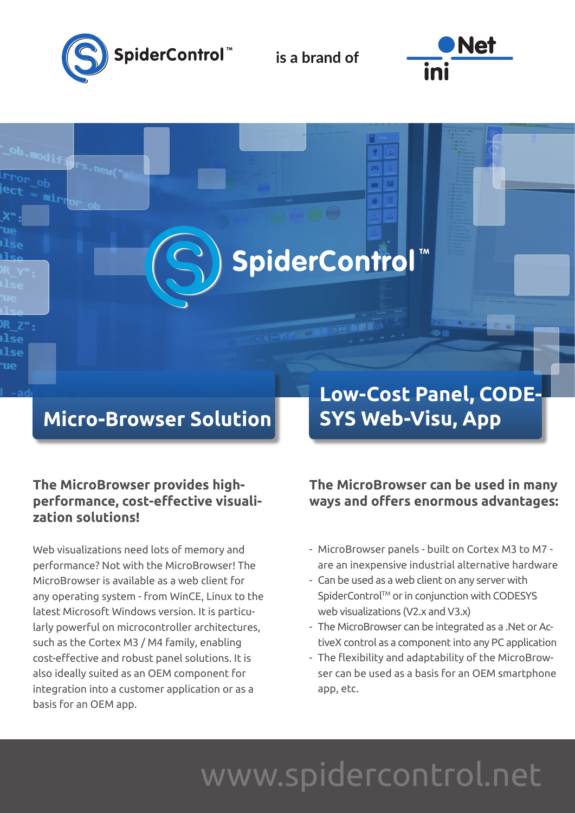

is a brand of

SpiderControl



## **Micro-Browser Solution**

### **The MicroBrowser provides highperformance, cost-effective visualization solutions!**

Web visualizations need lots of memory and performance? Not with the MicroBrowser! The MicroBrowser is available as a web client for any operating system - from WinCE, Linux to the latest Microsoft Windows version. It is particularly powerful on microcontroller architectures, such as the Cortex M3 / M4 family, enabling cost-effective and robust panel solutions. It is also ideally suited as an OEM component for integration into a customer application or as a basis for an OEM app.

## **Low-Cost Panel, CODE-SYS Web-Visu, App**

### **The MicroBrowser can be used in many ways and offers enormous advantages:**

- MicroBrowser panels built on Cortex M3 to M7 are an inexpensive industrial alternative hardware
- Can be used as a web client on any server with SpiderControl™ or in conjunction with CODESYS web visualizations (V2.x and V3.x)
- The MicroBrowser can be integrated as a .Net or ActiveX control as a component into any PC application
- The flexibility and adaptability of the MicroBrowser can be used as a basis for an OEM smartphone app, etc.

# www.spidercontrol.net